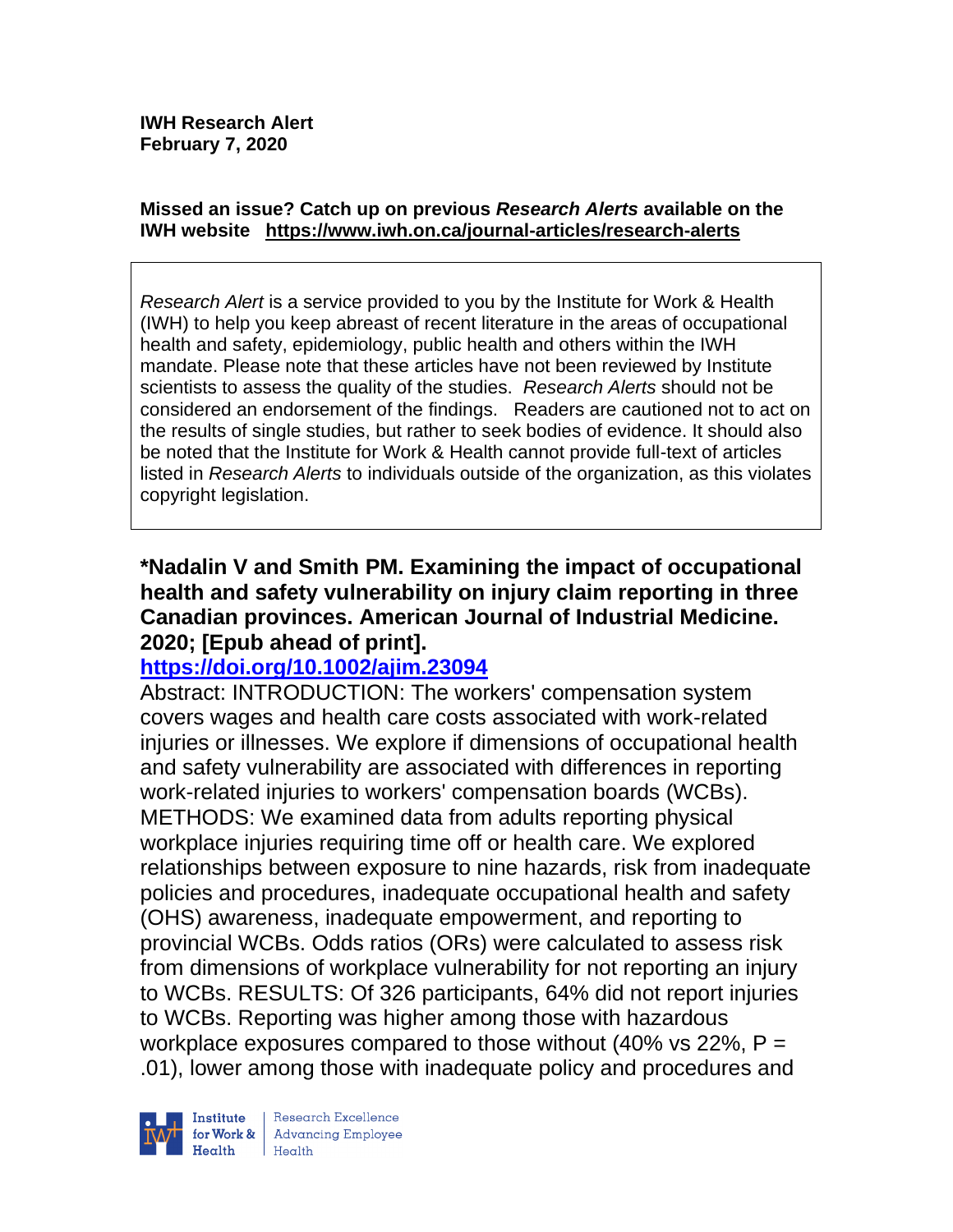#### **Missed an issue? Catch up on previous** *Research Alerts* **available on the [IWH website](http://www.iwh.on.ca/research-alerts) <https://www.iwh.on.ca/journal-articles/research-alerts>**

*Research Alert* is a service provided to you by the Institute for Work & Health (IWH) to help you keep abreast of recent literature in the areas of occupational health and safety, epidemiology, public health and others within the IWH mandate. Please note that these articles have not been reviewed by Institute scientists to assess the quality of the studies. *Research Alerts* should not be considered an endorsement of the findings. Readers are cautioned not to act on the results of single studies, but rather to seek bodies of evidence. It should also be noted that the Institute for Work & Health cannot provide full-text of articles listed in *Research Alerts* to individuals outside of the organization, as this violates copyright legislation.

## **\*Nadalin V and Smith PM. Examining the impact of occupational health and safety vulnerability on injury claim reporting in three Canadian provinces. American Journal of Industrial Medicine. 2020; [Epub ahead of print].**

## **<https://doi.org/10.1002/ajim.23094>**

Abstract: INTRODUCTION: The workers' compensation system covers wages and health care costs associated with work-related injuries or illnesses. We explore if dimensions of occupational health and safety vulnerability are associated with differences in reporting work-related injuries to workers' compensation boards (WCBs). METHODS: We examined data from adults reporting physical workplace injuries requiring time off or health care. We explored relationships between exposure to nine hazards, risk from inadequate policies and procedures, inadequate occupational health and safety (OHS) awareness, inadequate empowerment, and reporting to provincial WCBs. Odds ratios (ORs) were calculated to assess risk from dimensions of workplace vulnerability for not reporting an injury to WCBs. RESULTS: Of 326 participants, 64% did not report injuries to WCBs. Reporting was higher among those with hazardous workplace exposures compared to those without  $(40\% \text{ vs } 22\% , P =$ .01), lower among those with inadequate policy and procedures and

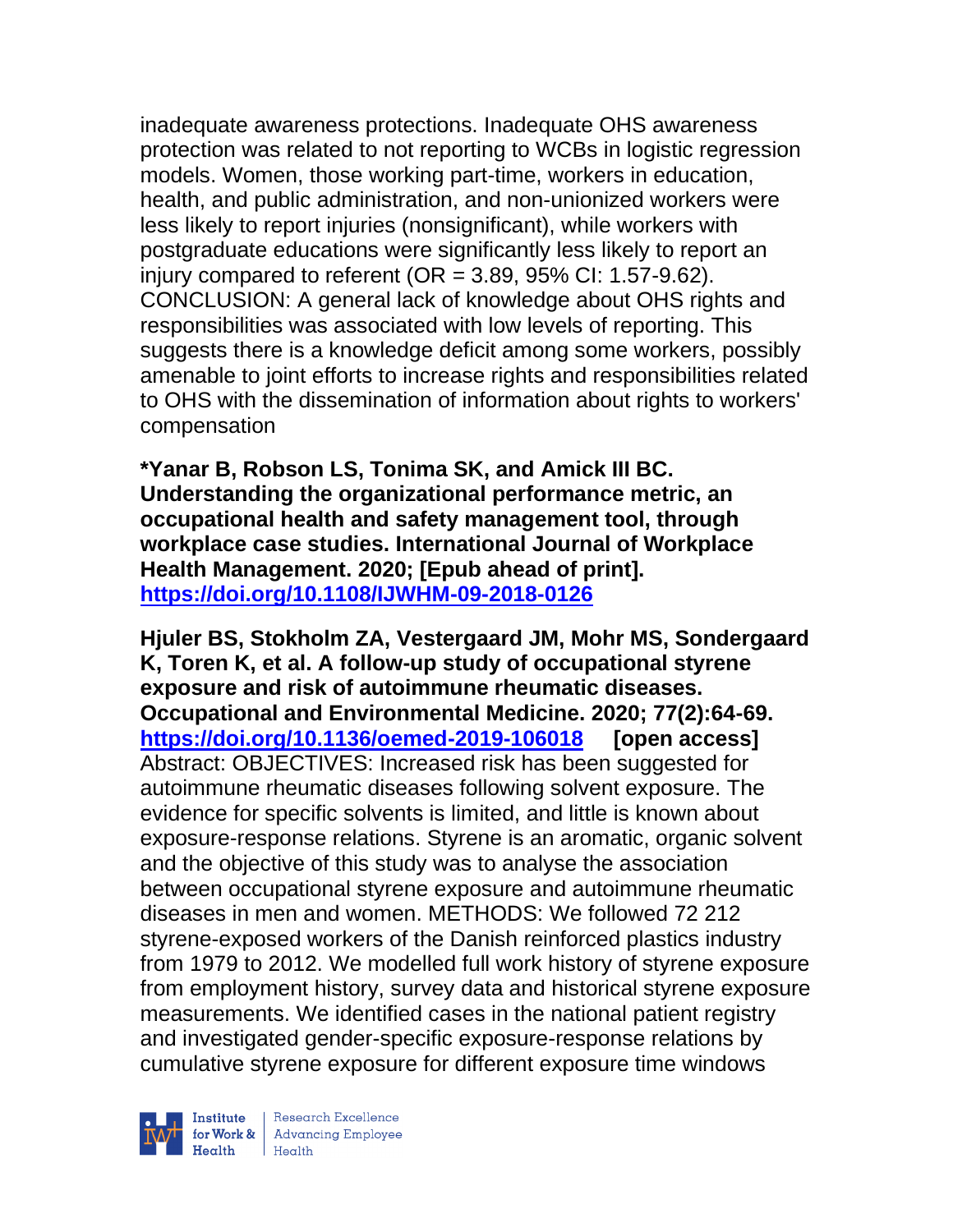inadequate awareness protections. Inadequate OHS awareness protection was related to not reporting to WCBs in logistic regression models. Women, those working part-time, workers in education, health, and public administration, and non-unionized workers were less likely to report injuries (nonsignificant), while workers with postgraduate educations were significantly less likely to report an injury compared to referent ( $OR = 3.89$ ,  $95\%$  CI: 1.57-9.62). CONCLUSION: A general lack of knowledge about OHS rights and responsibilities was associated with low levels of reporting. This suggests there is a knowledge deficit among some workers, possibly amenable to joint efforts to increase rights and responsibilities related to OHS with the dissemination of information about rights to workers' compensation

**\*Yanar B, Robson LS, Tonima SK, and Amick III BC. Understanding the organizational performance metric, an occupational health and safety management tool, through workplace case studies. International Journal of Workplace Health Management. 2020; [Epub ahead of print]. <https://doi.org/10.1108/IJWHM-09-2018-0126>**

**Hjuler BS, Stokholm ZA, Vestergaard JM, Mohr MS, Sondergaard K, Toren K, et al. A follow-up study of occupational styrene exposure and risk of autoimmune rheumatic diseases. Occupational and Environmental Medicine. 2020; 77(2):64-69. <https://doi.org/10.1136/oemed-2019-106018> [open access]** Abstract: OBJECTIVES: Increased risk has been suggested for autoimmune rheumatic diseases following solvent exposure. The evidence for specific solvents is limited, and little is known about exposure-response relations. Styrene is an aromatic, organic solvent and the objective of this study was to analyse the association between occupational styrene exposure and autoimmune rheumatic diseases in men and women. METHODS: We followed 72 212 styrene-exposed workers of the Danish reinforced plastics industry from 1979 to 2012. We modelled full work history of styrene exposure from employment history, survey data and historical styrene exposure measurements. We identified cases in the national patient registry and investigated gender-specific exposure-response relations by cumulative styrene exposure for different exposure time windows

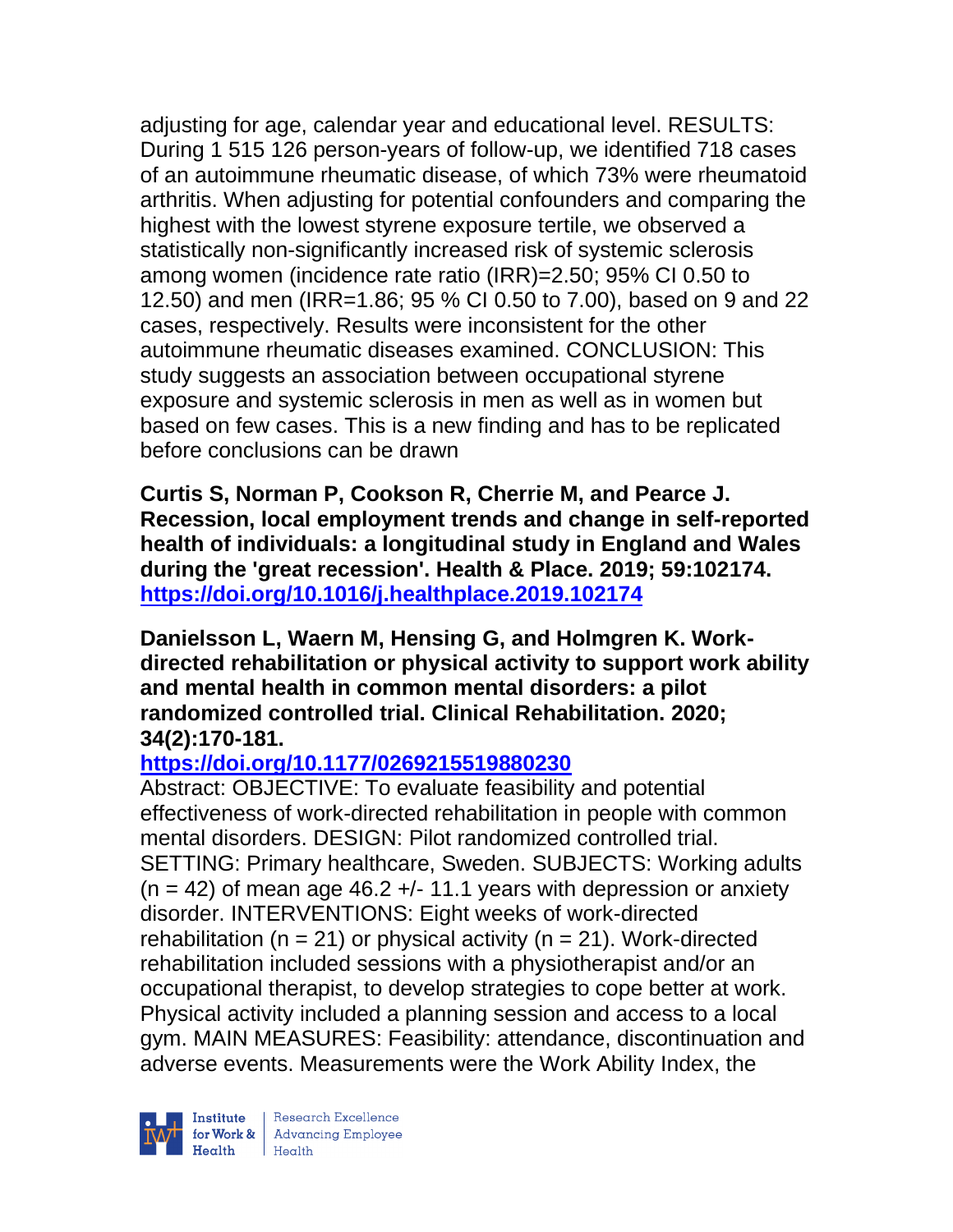adjusting for age, calendar year and educational level. RESULTS: During 1 515 126 person-years of follow-up, we identified 718 cases of an autoimmune rheumatic disease, of which 73% were rheumatoid arthritis. When adjusting for potential confounders and comparing the highest with the lowest styrene exposure tertile, we observed a statistically non-significantly increased risk of systemic sclerosis among women (incidence rate ratio (IRR)=2.50; 95% CI 0.50 to 12.50) and men (IRR=1.86; 95 % CI 0.50 to 7.00), based on 9 and 22 cases, respectively. Results were inconsistent for the other autoimmune rheumatic diseases examined. CONCLUSION: This study suggests an association between occupational styrene exposure and systemic sclerosis in men as well as in women but based on few cases. This is a new finding and has to be replicated before conclusions can be drawn

**Curtis S, Norman P, Cookson R, Cherrie M, and Pearce J. Recession, local employment trends and change in self-reported health of individuals: a longitudinal study in England and Wales during the 'great recession'. Health & Place. 2019; 59:102174. <https://doi.org/10.1016/j.healthplace.2019.102174>** 

**Danielsson L, Waern M, Hensing G, and Holmgren K. Workdirected rehabilitation or physical activity to support work ability and mental health in common mental disorders: a pilot randomized controlled trial. Clinical Rehabilitation. 2020; 34(2):170-181.** 

# **<https://doi.org/10.1177/0269215519880230>**

Abstract: OBJECTIVE: To evaluate feasibility and potential effectiveness of work-directed rehabilitation in people with common mental disorders. DESIGN: Pilot randomized controlled trial. SETTING: Primary healthcare, Sweden. SUBJECTS: Working adults  $(n = 42)$  of mean age 46.2 +/- 11.1 years with depression or anxiety disorder. INTERVENTIONS: Eight weeks of work-directed rehabilitation ( $n = 21$ ) or physical activity ( $n = 21$ ). Work-directed rehabilitation included sessions with a physiotherapist and/or an occupational therapist, to develop strategies to cope better at work. Physical activity included a planning session and access to a local gym. MAIN MEASURES: Feasibility: attendance, discontinuation and adverse events. Measurements were the Work Ability Index, the

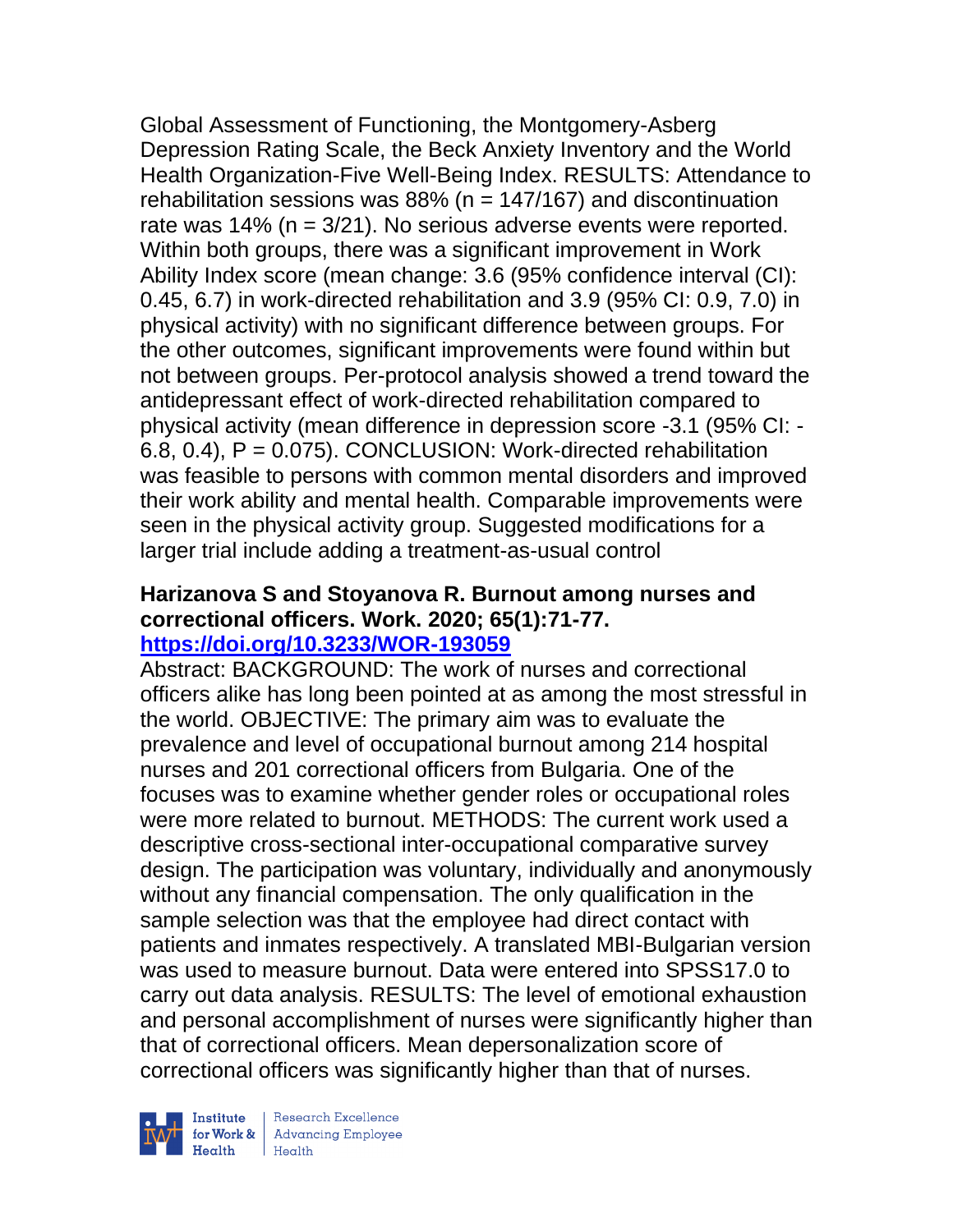Global Assessment of Functioning, the Montgomery-Asberg Depression Rating Scale, the Beck Anxiety Inventory and the World Health Organization-Five Well-Being Index. RESULTS: Attendance to rehabilitation sessions was  $88\%$  (n = 147/167) and discontinuation rate was 14% (n = 3/21). No serious adverse events were reported. Within both groups, there was a significant improvement in Work Ability Index score (mean change: 3.6 (95% confidence interval (CI): 0.45, 6.7) in work-directed rehabilitation and 3.9 (95% CI: 0.9, 7.0) in physical activity) with no significant difference between groups. For the other outcomes, significant improvements were found within but not between groups. Per-protocol analysis showed a trend toward the antidepressant effect of work-directed rehabilitation compared to physical activity (mean difference in depression score -3.1 (95% CI: -  $6.8, 0.4$ ),  $P = 0.075$ ). CONCLUSION: Work-directed rehabilitation was feasible to persons with common mental disorders and improved their work ability and mental health. Comparable improvements were seen in the physical activity group. Suggested modifications for a larger trial include adding a treatment-as-usual control

#### **Harizanova S and Stoyanova R. Burnout among nurses and correctional officers. Work. 2020; 65(1):71-77. <https://doi.org/10.3233/WOR-193059>**

Abstract: BACKGROUND: The work of nurses and correctional officers alike has long been pointed at as among the most stressful in the world. OBJECTIVE: The primary aim was to evaluate the prevalence and level of occupational burnout among 214 hospital nurses and 201 correctional officers from Bulgaria. One of the focuses was to examine whether gender roles or occupational roles were more related to burnout. METHODS: The current work used a descriptive cross-sectional inter-occupational comparative survey design. The participation was voluntary, individually and anonymously without any financial compensation. The only qualification in the sample selection was that the employee had direct contact with patients and inmates respectively. A translated MBI-Bulgarian version was used to measure burnout. Data were entered into SPSS17.0 to carry out data analysis. RESULTS: The level of emotional exhaustion and personal accomplishment of nurses were significantly higher than that of correctional officers. Mean depersonalization score of correctional officers was significantly higher than that of nurses.

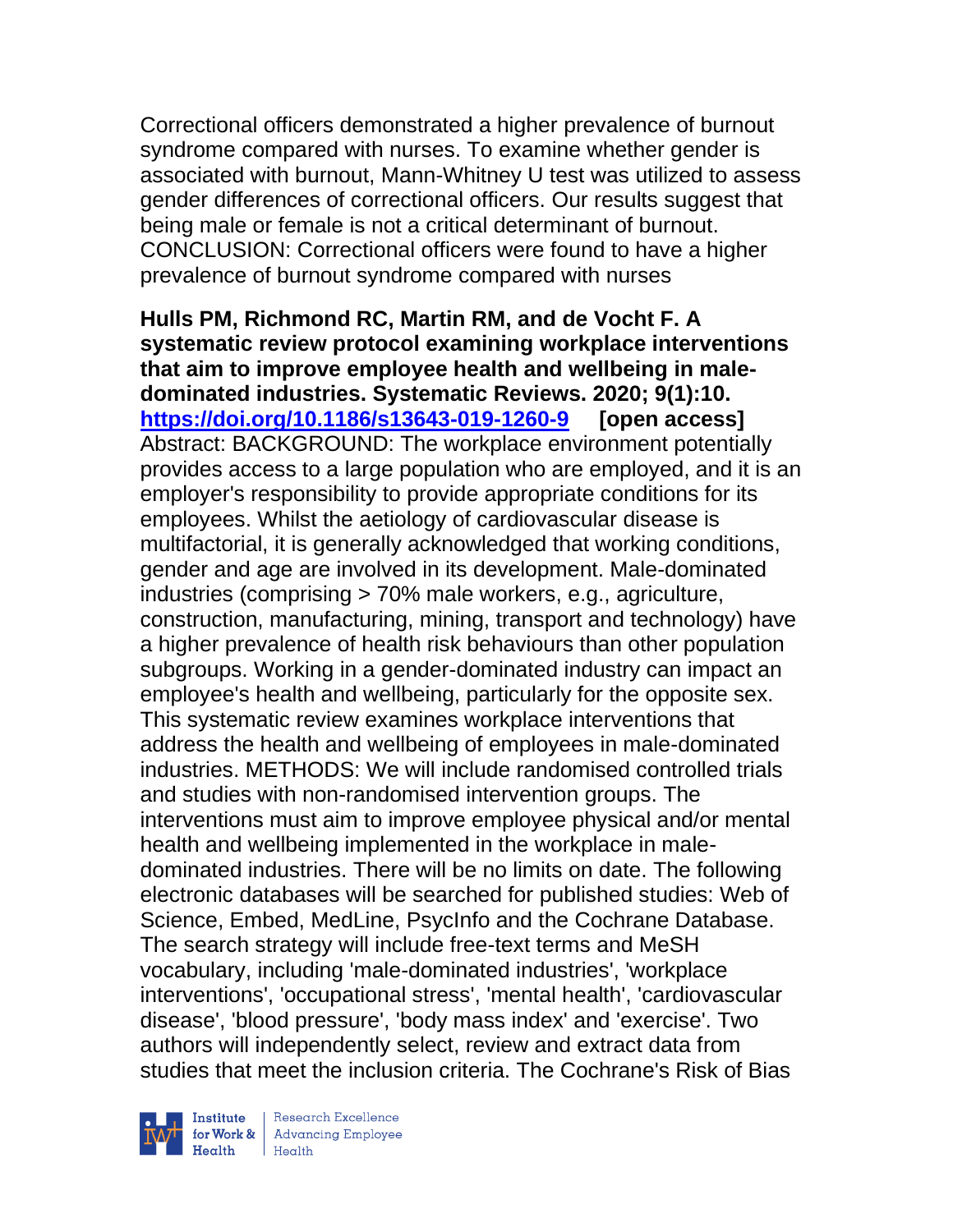Correctional officers demonstrated a higher prevalence of burnout syndrome compared with nurses. To examine whether gender is associated with burnout, Mann-Whitney U test was utilized to assess gender differences of correctional officers. Our results suggest that being male or female is not a critical determinant of burnout. CONCLUSION: Correctional officers were found to have a higher prevalence of burnout syndrome compared with nurses

**Hulls PM, Richmond RC, Martin RM, and de Vocht F. A systematic review protocol examining workplace interventions that aim to improve employee health and wellbeing in maledominated industries. Systematic Reviews. 2020; 9(1):10. <https://doi.org/10.1186/s13643-019-1260-9> [open access]** Abstract: BACKGROUND: The workplace environment potentially provides access to a large population who are employed, and it is an employer's responsibility to provide appropriate conditions for its employees. Whilst the aetiology of cardiovascular disease is multifactorial, it is generally acknowledged that working conditions, gender and age are involved in its development. Male-dominated industries (comprising > 70% male workers, e.g., agriculture, construction, manufacturing, mining, transport and technology) have a higher prevalence of health risk behaviours than other population subgroups. Working in a gender-dominated industry can impact an employee's health and wellbeing, particularly for the opposite sex. This systematic review examines workplace interventions that address the health and wellbeing of employees in male-dominated industries. METHODS: We will include randomised controlled trials and studies with non-randomised intervention groups. The interventions must aim to improve employee physical and/or mental health and wellbeing implemented in the workplace in maledominated industries. There will be no limits on date. The following electronic databases will be searched for published studies: Web of Science, Embed, MedLine, PsycInfo and the Cochrane Database. The search strategy will include free-text terms and MeSH vocabulary, including 'male-dominated industries', 'workplace interventions', 'occupational stress', 'mental health', 'cardiovascular disease', 'blood pressure', 'body mass index' and 'exercise'. Two authors will independently select, review and extract data from studies that meet the inclusion criteria. The Cochrane's Risk of Bias

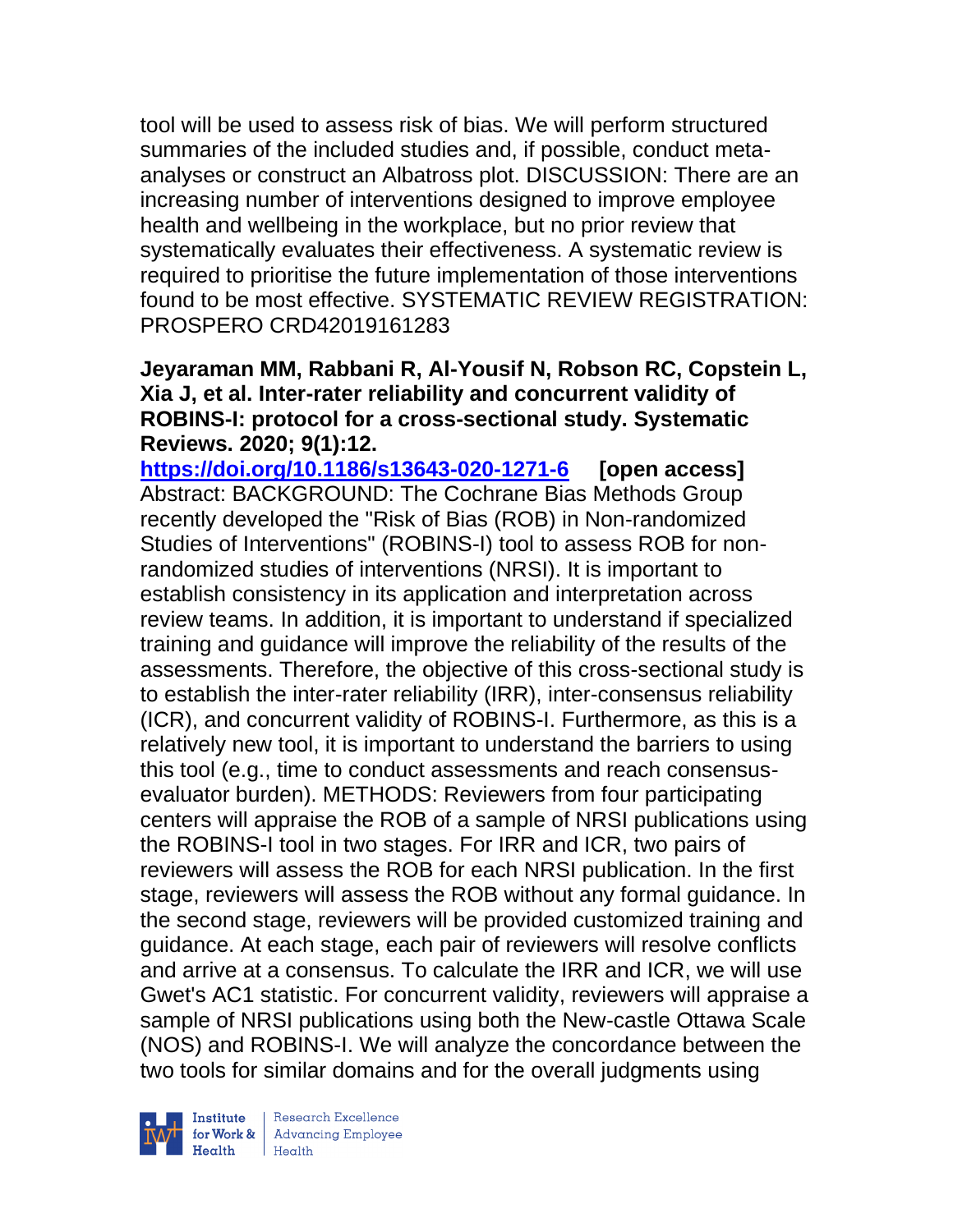tool will be used to assess risk of bias. We will perform structured summaries of the included studies and, if possible, conduct metaanalyses or construct an Albatross plot. DISCUSSION: There are an increasing number of interventions designed to improve employee health and wellbeing in the workplace, but no prior review that systematically evaluates their effectiveness. A systematic review is required to prioritise the future implementation of those interventions found to be most effective. SYSTEMATIC REVIEW REGISTRATION: PROSPERO CRD42019161283

#### **Jeyaraman MM, Rabbani R, Al-Yousif N, Robson RC, Copstein L, Xia J, et al. Inter-rater reliability and concurrent validity of ROBINS-I: protocol for a cross-sectional study. Systematic Reviews. 2020; 9(1):12.**

**<https://doi.org/10.1186/s13643-020-1271-6> [open access]** Abstract: BACKGROUND: The Cochrane Bias Methods Group recently developed the "Risk of Bias (ROB) in Non-randomized Studies of Interventions" (ROBINS-I) tool to assess ROB for nonrandomized studies of interventions (NRSI). It is important to establish consistency in its application and interpretation across review teams. In addition, it is important to understand if specialized training and guidance will improve the reliability of the results of the assessments. Therefore, the objective of this cross-sectional study is to establish the inter-rater reliability (IRR), inter-consensus reliability (ICR), and concurrent validity of ROBINS-I. Furthermore, as this is a relatively new tool, it is important to understand the barriers to using this tool (e.g., time to conduct assessments and reach consensusevaluator burden). METHODS: Reviewers from four participating centers will appraise the ROB of a sample of NRSI publications using the ROBINS-I tool in two stages. For IRR and ICR, two pairs of reviewers will assess the ROB for each NRSI publication. In the first stage, reviewers will assess the ROB without any formal guidance. In the second stage, reviewers will be provided customized training and guidance. At each stage, each pair of reviewers will resolve conflicts and arrive at a consensus. To calculate the IRR and ICR, we will use Gwet's AC1 statistic. For concurrent validity, reviewers will appraise a sample of NRSI publications using both the New-castle Ottawa Scale (NOS) and ROBINS-I. We will analyze the concordance between the two tools for similar domains and for the overall judgments using



Research Excellence for Work & Advancing Employee<br>Health Health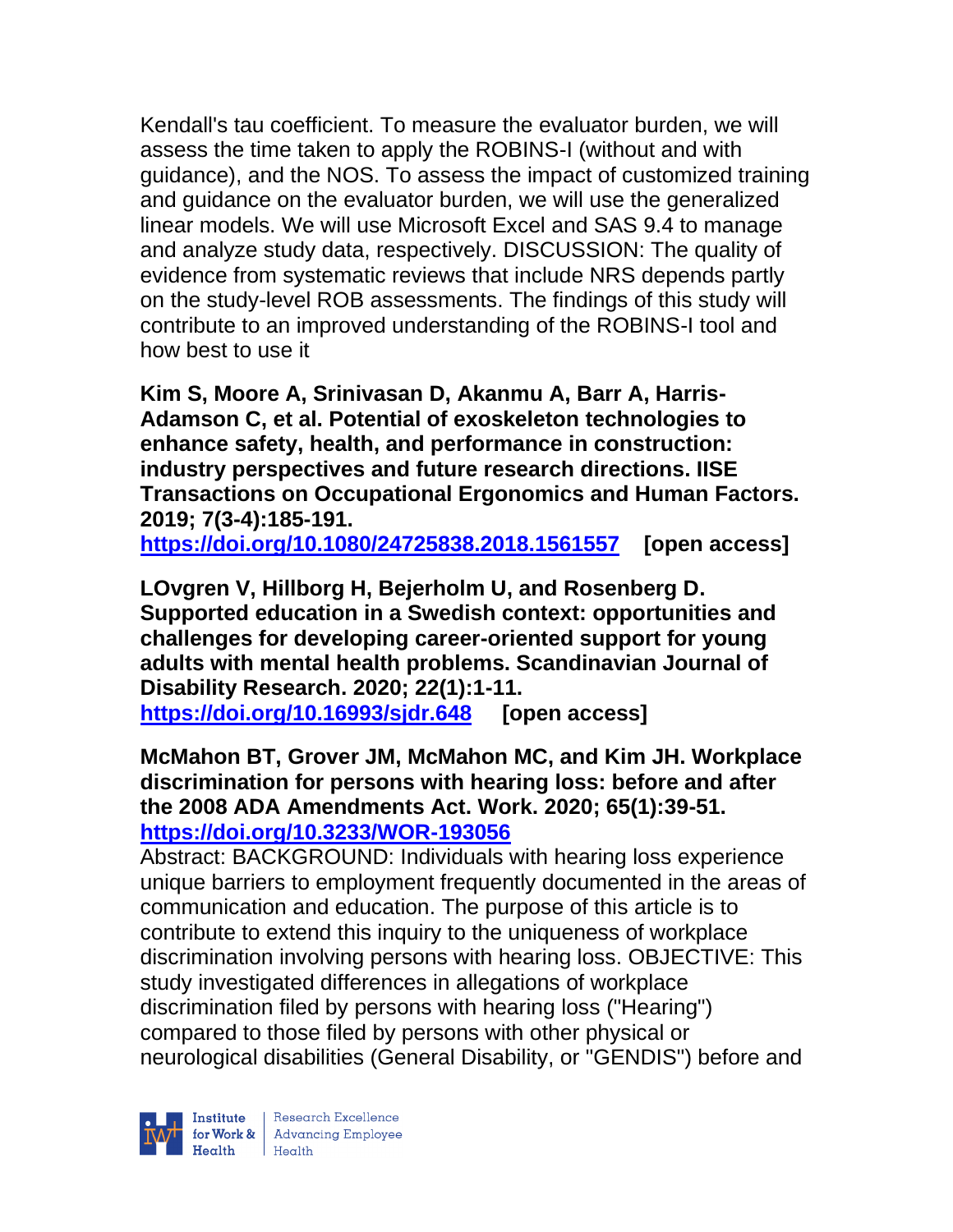Kendall's tau coefficient. To measure the evaluator burden, we will assess the time taken to apply the ROBINS-I (without and with guidance), and the NOS. To assess the impact of customized training and guidance on the evaluator burden, we will use the generalized linear models. We will use Microsoft Excel and SAS 9.4 to manage and analyze study data, respectively. DISCUSSION: The quality of evidence from systematic reviews that include NRS depends partly on the study-level ROB assessments. The findings of this study will contribute to an improved understanding of the ROBINS-I tool and how best to use it

**Kim S, Moore A, Srinivasan D, Akanmu A, Barr A, Harris-Adamson C, et al. Potential of exoskeleton technologies to enhance safety, health, and performance in construction: industry perspectives and future research directions. IISE Transactions on Occupational Ergonomics and Human Factors. 2019; 7(3-4):185-191.** 

**<https://doi.org/10.1080/24725838.2018.1561557> [open access]** 

**LOvgren V, Hillborg H, Bejerholm U, and Rosenberg D. Supported education in a Swedish context: opportunities and challenges for developing career-oriented support for young adults with mental health problems. Scandinavian Journal of Disability Research. 2020; 22(1):1-11.** 

**<https://doi.org/10.16993/sjdr.648> [open access]**

**McMahon BT, Grover JM, McMahon MC, and Kim JH. Workplace discrimination for persons with hearing loss: before and after the 2008 ADA Amendments Act. Work. 2020; 65(1):39-51. <https://doi.org/10.3233/WOR-193056>** 

Abstract: BACKGROUND: Individuals with hearing loss experience unique barriers to employment frequently documented in the areas of communication and education. The purpose of this article is to contribute to extend this inquiry to the uniqueness of workplace discrimination involving persons with hearing loss. OBJECTIVE: This study investigated differences in allegations of workplace discrimination filed by persons with hearing loss ("Hearing") compared to those filed by persons with other physical or neurological disabilities (General Disability, or "GENDIS") before and

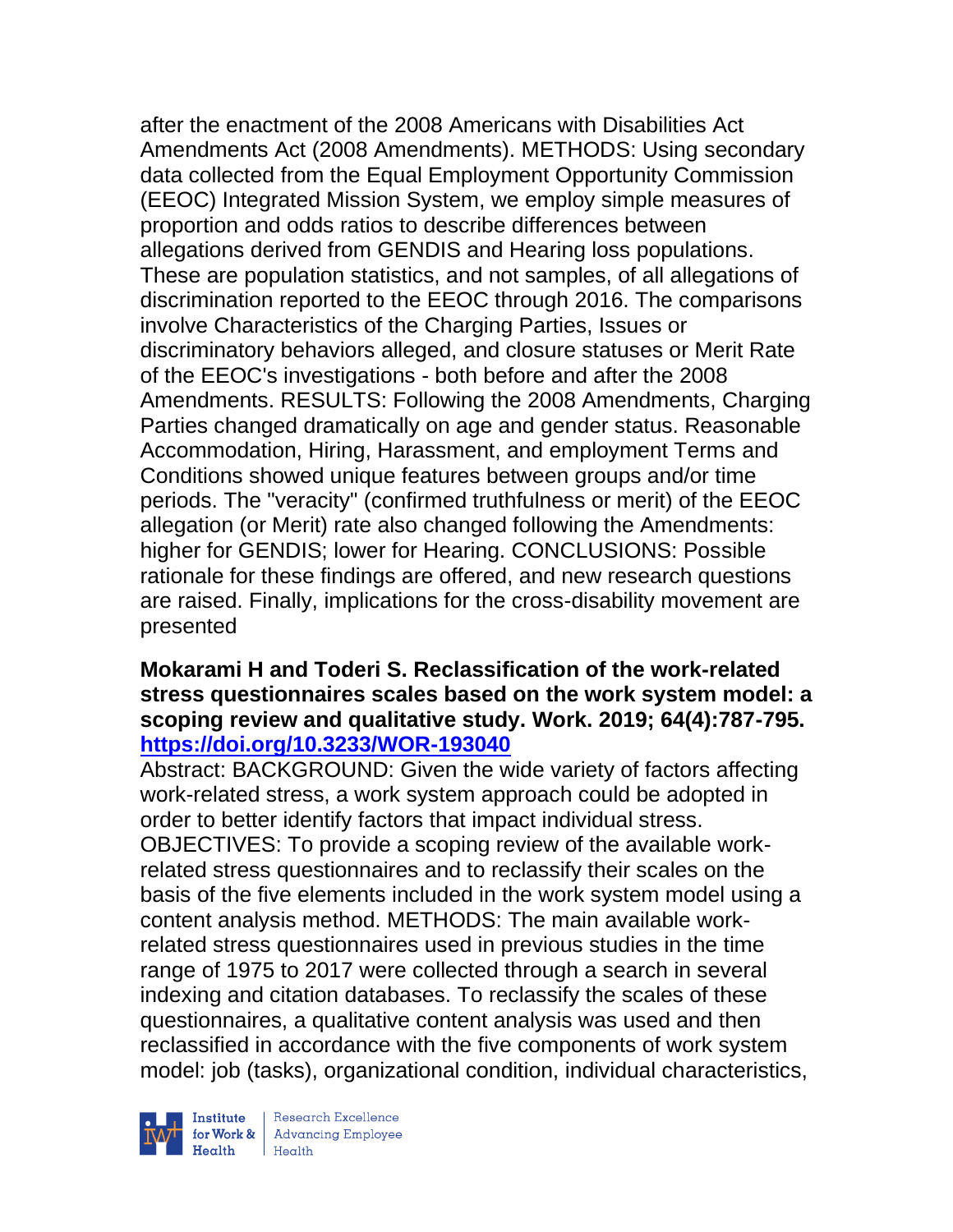after the enactment of the 2008 Americans with Disabilities Act Amendments Act (2008 Amendments). METHODS: Using secondary data collected from the Equal Employment Opportunity Commission (EEOC) Integrated Mission System, we employ simple measures of proportion and odds ratios to describe differences between allegations derived from GENDIS and Hearing loss populations. These are population statistics, and not samples, of all allegations of discrimination reported to the EEOC through 2016. The comparisons involve Characteristics of the Charging Parties, Issues or discriminatory behaviors alleged, and closure statuses or Merit Rate of the EEOC's investigations - both before and after the 2008 Amendments. RESULTS: Following the 2008 Amendments, Charging Parties changed dramatically on age and gender status. Reasonable Accommodation, Hiring, Harassment, and employment Terms and Conditions showed unique features between groups and/or time periods. The "veracity" (confirmed truthfulness or merit) of the EEOC allegation (or Merit) rate also changed following the Amendments: higher for GENDIS; lower for Hearing. CONCLUSIONS: Possible rationale for these findings are offered, and new research questions are raised. Finally, implications for the cross-disability movement are presented

#### **Mokarami H and Toderi S. Reclassification of the work-related stress questionnaires scales based on the work system model: a scoping review and qualitative study. Work. 2019; 64(4):787-795. <https://doi.org/10.3233/WOR-193040>**

Abstract: BACKGROUND: Given the wide variety of factors affecting work-related stress, a work system approach could be adopted in order to better identify factors that impact individual stress. OBJECTIVES: To provide a scoping review of the available workrelated stress questionnaires and to reclassify their scales on the basis of the five elements included in the work system model using a content analysis method. METHODS: The main available workrelated stress questionnaires used in previous studies in the time range of 1975 to 2017 were collected through a search in several indexing and citation databases. To reclassify the scales of these questionnaires, a qualitative content analysis was used and then reclassified in accordance with the five components of work system model: job (tasks), organizational condition, individual characteristics,



| Research Excellence Finantium Research Excellence<br>
Finantium Research Employee<br>
Realth Health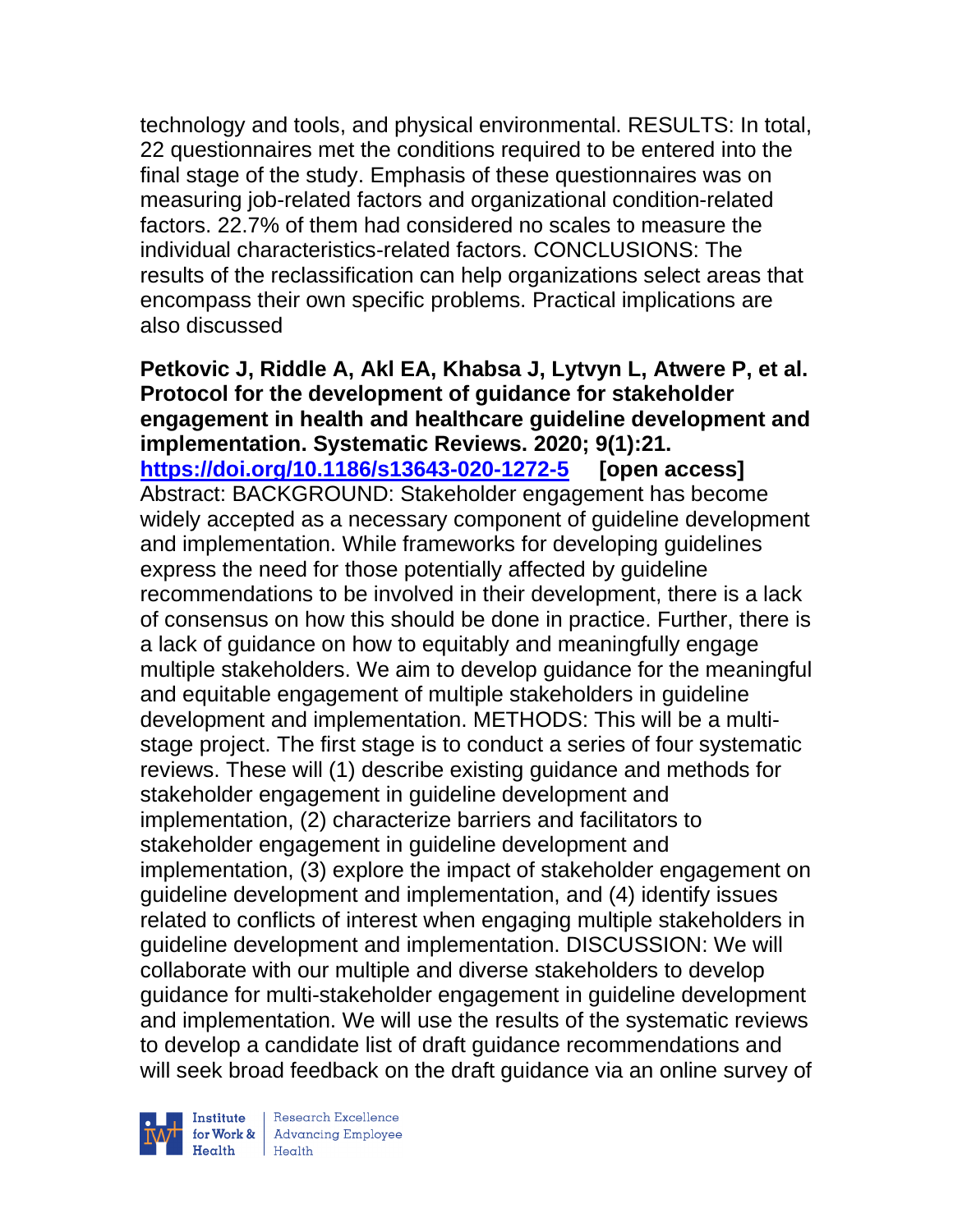technology and tools, and physical environmental. RESULTS: In total, 22 questionnaires met the conditions required to be entered into the final stage of the study. Emphasis of these questionnaires was on measuring job-related factors and organizational condition-related factors. 22.7% of them had considered no scales to measure the individual characteristics-related factors. CONCLUSIONS: The results of the reclassification can help organizations select areas that encompass their own specific problems. Practical implications are also discussed

**Petkovic J, Riddle A, Akl EA, Khabsa J, Lytvyn L, Atwere P, et al. Protocol for the development of guidance for stakeholder engagement in health and healthcare guideline development and implementation. Systematic Reviews. 2020; 9(1):21. <https://doi.org/10.1186/s13643-020-1272-5> [open access]** Abstract: BACKGROUND: Stakeholder engagement has become widely accepted as a necessary component of guideline development and implementation. While frameworks for developing guidelines express the need for those potentially affected by guideline recommendations to be involved in their development, there is a lack of consensus on how this should be done in practice. Further, there is a lack of guidance on how to equitably and meaningfully engage multiple stakeholders. We aim to develop guidance for the meaningful and equitable engagement of multiple stakeholders in guideline development and implementation. METHODS: This will be a multistage project. The first stage is to conduct a series of four systematic reviews. These will (1) describe existing guidance and methods for stakeholder engagement in guideline development and implementation, (2) characterize barriers and facilitators to stakeholder engagement in guideline development and implementation, (3) explore the impact of stakeholder engagement on guideline development and implementation, and (4) identify issues related to conflicts of interest when engaging multiple stakeholders in guideline development and implementation. DISCUSSION: We will collaborate with our multiple and diverse stakeholders to develop guidance for multi-stakeholder engagement in guideline development and implementation. We will use the results of the systematic reviews to develop a candidate list of draft guidance recommendations and will seek broad feedback on the draft guidance via an online survey of



| Research Excellence Finantium Research Excellence<br>
For Work & Advancing Employee<br>
Health Health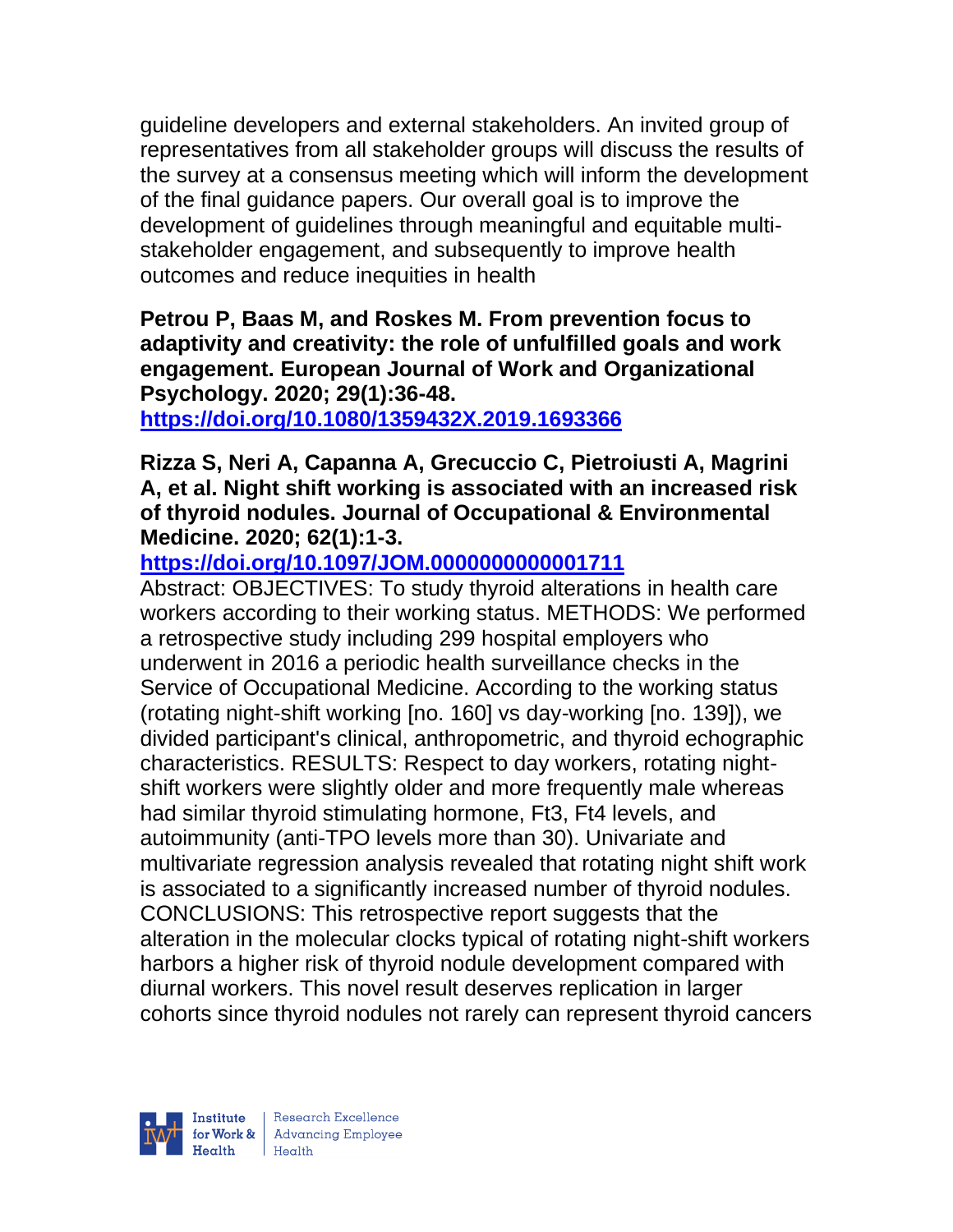guideline developers and external stakeholders. An invited group of representatives from all stakeholder groups will discuss the results of the survey at a consensus meeting which will inform the development of the final guidance papers. Our overall goal is to improve the development of guidelines through meaningful and equitable multistakeholder engagement, and subsequently to improve health outcomes and reduce inequities in health

## **Petrou P, Baas M, and Roskes M. From prevention focus to adaptivity and creativity: the role of unfulfilled goals and work engagement. European Journal of Work and Organizational Psychology. 2020; 29(1):36-48.**

**<https://doi.org/10.1080/1359432X.2019.1693366>** 

**Rizza S, Neri A, Capanna A, Grecuccio C, Pietroiusti A, Magrini A, et al. Night shift working is associated with an increased risk of thyroid nodules. Journal of Occupational & Environmental Medicine. 2020; 62(1):1-3.** 

**<https://doi.org/10.1097/JOM.0000000000001711>** 

Abstract: OBJECTIVES: To study thyroid alterations in health care workers according to their working status. METHODS: We performed a retrospective study including 299 hospital employers who underwent in 2016 a periodic health surveillance checks in the Service of Occupational Medicine. According to the working status (rotating night-shift working [no. 160] vs day-working [no. 139]), we divided participant's clinical, anthropometric, and thyroid echographic characteristics. RESULTS: Respect to day workers, rotating nightshift workers were slightly older and more frequently male whereas had similar thyroid stimulating hormone, Ft3, Ft4 levels, and autoimmunity (anti-TPO levels more than 30). Univariate and multivariate regression analysis revealed that rotating night shift work is associated to a significantly increased number of thyroid nodules. CONCLUSIONS: This retrospective report suggests that the alteration in the molecular clocks typical of rotating night-shift workers harbors a higher risk of thyroid nodule development compared with diurnal workers. This novel result deserves replication in larger cohorts since thyroid nodules not rarely can represent thyroid cancers

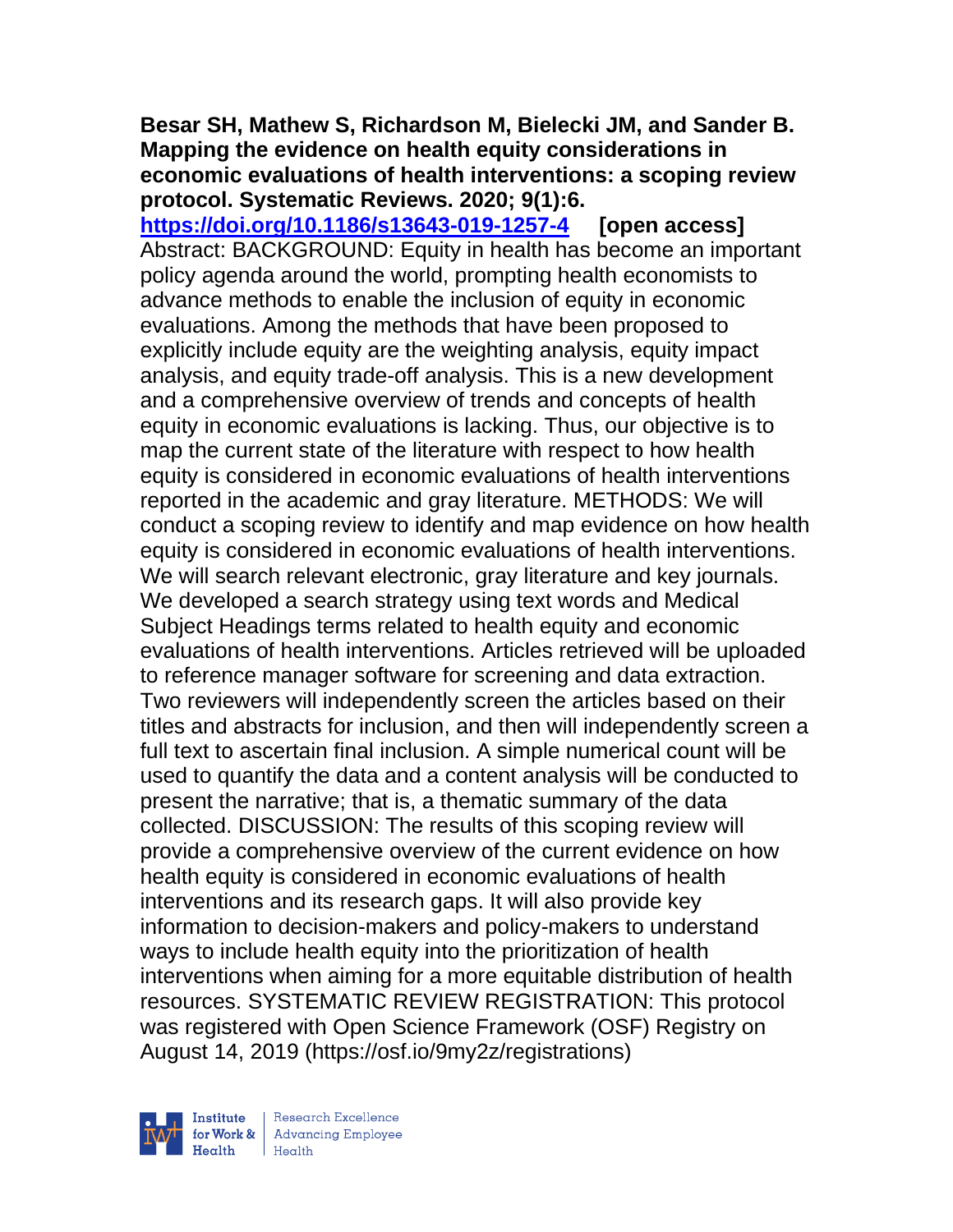#### **Besar SH, Mathew S, Richardson M, Bielecki JM, and Sander B. Mapping the evidence on health equity considerations in economic evaluations of health interventions: a scoping review protocol. Systematic Reviews. 2020; 9(1):6.**

**<https://doi.org/10.1186/s13643-019-1257-4> [open access]** Abstract: BACKGROUND: Equity in health has become an important policy agenda around the world, prompting health economists to advance methods to enable the inclusion of equity in economic evaluations. Among the methods that have been proposed to explicitly include equity are the weighting analysis, equity impact analysis, and equity trade-off analysis. This is a new development and a comprehensive overview of trends and concepts of health equity in economic evaluations is lacking. Thus, our objective is to map the current state of the literature with respect to how health equity is considered in economic evaluations of health interventions reported in the academic and gray literature. METHODS: We will conduct a scoping review to identify and map evidence on how health equity is considered in economic evaluations of health interventions. We will search relevant electronic, gray literature and key journals. We developed a search strategy using text words and Medical Subject Headings terms related to health equity and economic evaluations of health interventions. Articles retrieved will be uploaded to reference manager software for screening and data extraction. Two reviewers will independently screen the articles based on their titles and abstracts for inclusion, and then will independently screen a full text to ascertain final inclusion. A simple numerical count will be used to quantify the data and a content analysis will be conducted to present the narrative; that is, a thematic summary of the data collected. DISCUSSION: The results of this scoping review will provide a comprehensive overview of the current evidence on how health equity is considered in economic evaluations of health interventions and its research gaps. It will also provide key information to decision-makers and policy-makers to understand ways to include health equity into the prioritization of health interventions when aiming for a more equitable distribution of health resources. SYSTEMATIC REVIEW REGISTRATION: This protocol was registered with Open Science Framework (OSF) Registry on August 14, 2019 (https://osf.io/9my2z/registrations)

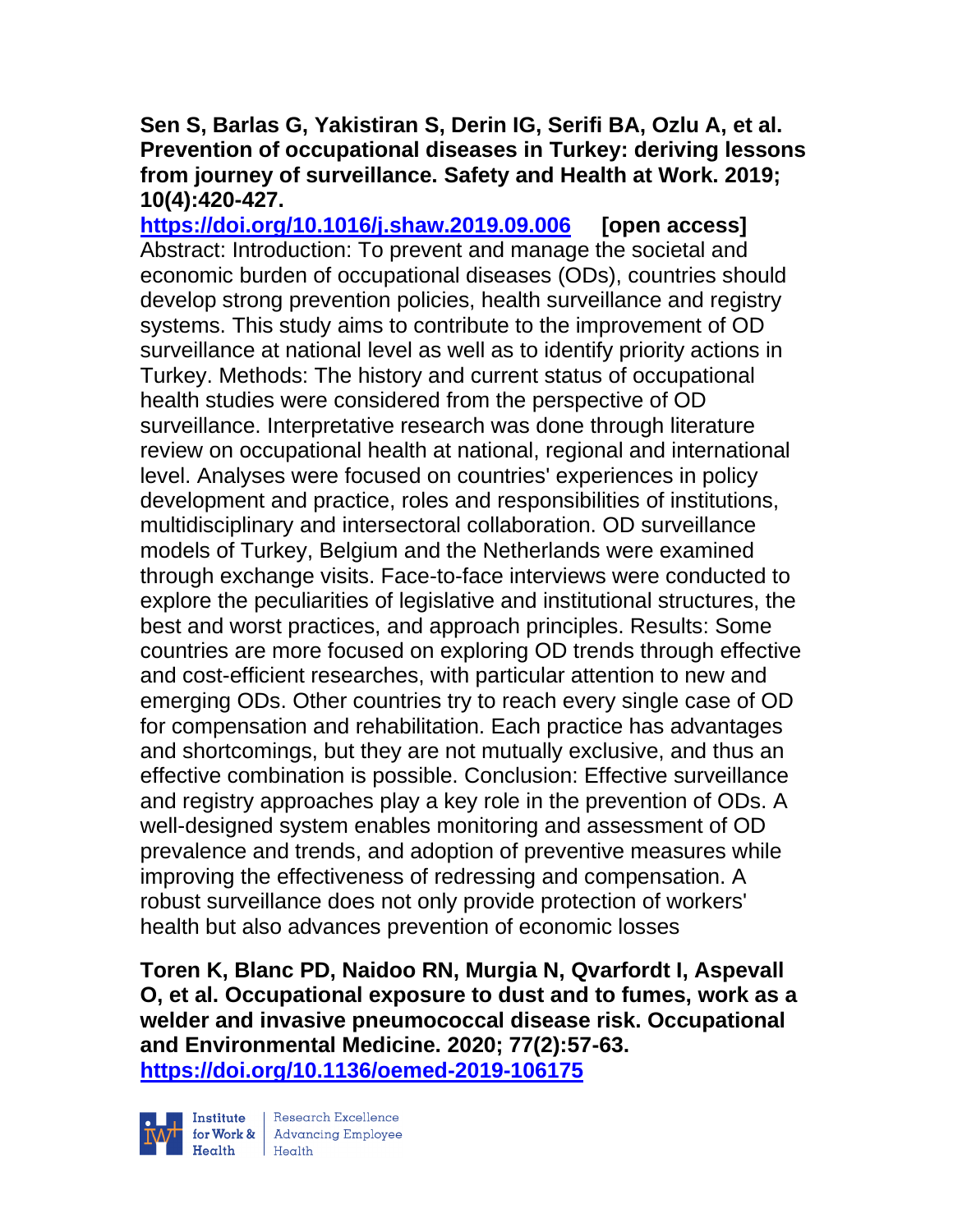## **Sen S, Barlas G, Yakistiran S, Derin IG, Serifi BA, Ozlu A, et al. Prevention of occupational diseases in Turkey: deriving lessons from journey of surveillance. Safety and Health at Work. 2019; 10(4):420-427.**

**<https://doi.org/10.1016/j.shaw.2019.09.006> [open access]** Abstract: Introduction: To prevent and manage the societal and economic burden of occupational diseases (ODs), countries should develop strong prevention policies, health surveillance and registry systems. This study aims to contribute to the improvement of OD surveillance at national level as well as to identify priority actions in Turkey. Methods: The history and current status of occupational health studies were considered from the perspective of OD surveillance. Interpretative research was done through literature review on occupational health at national, regional and international level. Analyses were focused on countries' experiences in policy development and practice, roles and responsibilities of institutions, multidisciplinary and intersectoral collaboration. OD surveillance models of Turkey, Belgium and the Netherlands were examined through exchange visits. Face-to-face interviews were conducted to explore the peculiarities of legislative and institutional structures, the best and worst practices, and approach principles. Results: Some countries are more focused on exploring OD trends through effective and cost-efficient researches, with particular attention to new and emerging ODs. Other countries try to reach every single case of OD for compensation and rehabilitation. Each practice has advantages and shortcomings, but they are not mutually exclusive, and thus an effective combination is possible. Conclusion: Effective surveillance and registry approaches play a key role in the prevention of ODs. A well-designed system enables monitoring and assessment of OD prevalence and trends, and adoption of preventive measures while improving the effectiveness of redressing and compensation. A robust surveillance does not only provide protection of workers' health but also advances prevention of economic losses

**Toren K, Blanc PD, Naidoo RN, Murgia N, Qvarfordt I, Aspevall O, et al. Occupational exposure to dust and to fumes, work as a welder and invasive pneumococcal disease risk. Occupational and Environmental Medicine. 2020; 77(2):57-63. <https://doi.org/10.1136/oemed-2019-106175>** 



Research Excellence for Work & | Advancing Employee  $H_{\text{each}}$